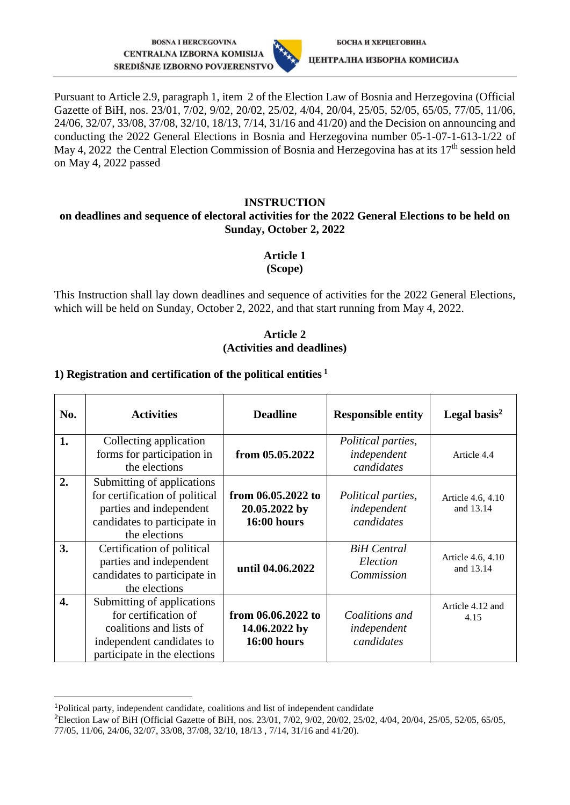**BOSNA I HERCEGOVINA CENTRALNA IZBORNA KOMISIJA** SREDIŠNJE IZBORNO POVJERENSTVO



ЦЕНТРАЛНА ИЗБОРНА КОМИСИЈА

Pursuant to Article 2.9, paragraph 1, item 2 of the Election Law of Bosnia and Herzegovina (Official Gazette of BiH, nos. 23/01, 7/02, 9/02, 20/02, 25/02, 4/04, 20/04, 25/05, 52/05, 65/05, 77/05, 11/06, 24/06, 32/07, 33/08, 37/08, 32/10, 18/13, 7/14, 31/16 and 41/20) and the Decision on announcing and conducting the 2022 General Elections in Bosnia and Herzegovina number 05-1-07-1-613-1/22 of May 4, 2022 the Central Election Commission of Bosnia and Herzegovina has at its  $17<sup>th</sup>$  session held on May 4, 2022 passed

### **INSTRUCTION**

#### **on deadlines and sequence of electoral activities for the 2022 General Elections to be held on Sunday, October 2, 2022**

### **Article 1**

**(Scope)**

This Instruction shall lay down deadlines and sequence of activities for the 2022 General Elections, which will be held on Sunday, October 2, 2022, and that start running from May 4, 2022.

### **Article 2 (Activities and deadlines)**

### **1) Registration and certification of the political entities <sup>1</sup>**

| No. | <b>Activities</b>                                                                                                                          | <b>Deadline</b>                                           | <b>Responsible entity</b>                              | Legal basis $^2$               |
|-----|--------------------------------------------------------------------------------------------------------------------------------------------|-----------------------------------------------------------|--------------------------------------------------------|--------------------------------|
| 1.  | Collecting application<br>forms for participation in<br>the elections                                                                      | from 05.05.2022                                           | <i>Political parties,</i><br>independent<br>candidates | Article 4.4                    |
| 2.  | Submitting of applications<br>for certification of political<br>parties and independent<br>candidates to participate in<br>the elections   | from 06.05.2022 to<br>20.05.2022 by<br>$16:00$ hours      | <i>Political parties,</i><br>independent<br>candidates | Article 4.6, 4.10<br>and 13.14 |
| 3.  | Certification of political<br>parties and independent<br>candidates to participate in<br>the elections                                     | until 04.06.2022                                          | <b>BiH</b> Central<br>Election<br>Commission           | Article 4.6, 4.10<br>and 13.14 |
| 4.  | Submitting of applications<br>for certification of<br>coalitions and lists of<br>independent candidates to<br>participate in the elections | from 06.06.2022 to<br>14.06.2022 by<br><b>16:00 hours</b> | Coalitions and<br>independent<br>candidates            | Article 4.12 and<br>4.15       |

<sup>1</sup>Political party, independent candidate, coalitions and list of independent candidate

-

<sup>&</sup>lt;sup>2</sup>Election Law of BiH (Official Gazette of BiH, nos. 23/01, 7/02, 9/02, 20/02, 25/02, 4/04, 20/04, 25/05, 52/05, 65/05, 77/05, 11/06, 24/06, 32/07, 33/08, 37/08, 32/10, 18/13 , 7/14, 31/16 and 41/20).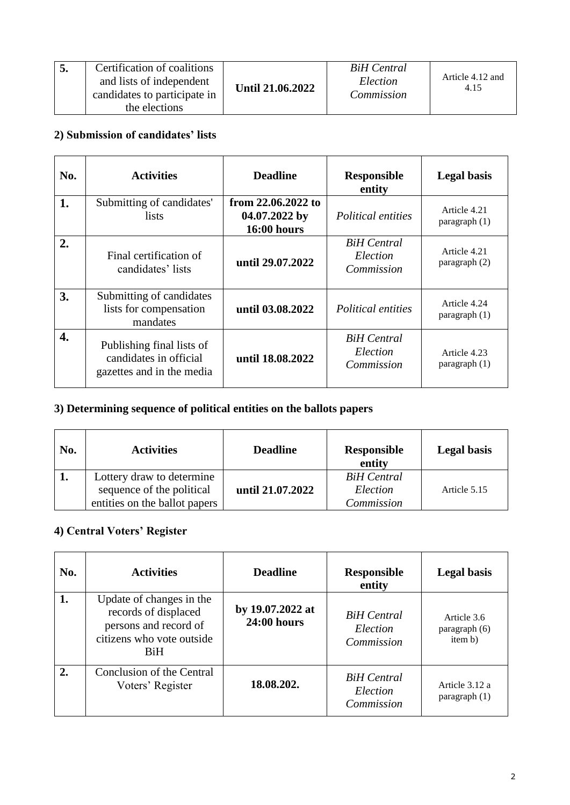|  | Certification of coalitions<br>and lists of independent<br>candidates to participate in<br>the elections | Until 21.06.2022 | <b>BiH</b> Central<br>Election<br>Commission | Article 4.12 and<br>4.15 |
|--|----------------------------------------------------------------------------------------------------------|------------------|----------------------------------------------|--------------------------|
|--|----------------------------------------------------------------------------------------------------------|------------------|----------------------------------------------|--------------------------|

# **2) Submission of candidates' lists**

| No. | <b>Activities</b>                                                                | <b>Deadline</b>                                           | <b>Responsible</b><br>entity                 | <b>Legal</b> basis                            |
|-----|----------------------------------------------------------------------------------|-----------------------------------------------------------|----------------------------------------------|-----------------------------------------------|
| 1.  | Submitting of candidates'<br><i>lists</i>                                        | from 22.06.2022 to<br>04.07.2022 by<br><b>16:00 hours</b> | <i>Political entities</i>                    | Article 4.21<br>paragraph (1)                 |
| 2.  | Final certification of<br>candidates' lists                                      | until 29.07.2022                                          | <b>BiH</b> Central<br>Election<br>Commission | Article 4.21<br>paragraph (2)                 |
| 3.  | Submitting of candidates<br>lists for compensation<br>mandates                   | until 03.08.2022                                          | Political entities                           | Article 4.24<br>$\frac{1}{2}$ paragraph $(1)$ |
| 4.  | Publishing final lists of<br>candidates in official<br>gazettes and in the media | until 18.08.2022                                          | <b>BiH</b> Central<br>Election<br>Commission | Article 4.23<br>$\frac{1}{2}$ paragraph $(1)$ |

# **3) Determining sequence of political entities on the ballots papers**

| No. | <b>Activities</b>                                                                       | <b>Deadline</b>  | <b>Responsible</b><br>entity                 | <b>Legal basis</b> |
|-----|-----------------------------------------------------------------------------------------|------------------|----------------------------------------------|--------------------|
|     | Lottery draw to determine<br>sequence of the political<br>entities on the ballot papers | until 21.07.2022 | <b>BiH</b> Central<br>Election<br>Commission | Article 5.15       |

# **4) Central Voters' Register**

| No. | <b>Activities</b>                                                                                                    | <b>Deadline</b>                        | <b>Responsible</b><br>entity                 | <b>Legal basis</b>                      |
|-----|----------------------------------------------------------------------------------------------------------------------|----------------------------------------|----------------------------------------------|-----------------------------------------|
| 1.  | Update of changes in the<br>records of displaced<br>persons and record of<br>citizens who vote outside<br><b>BiH</b> | by 19.07.2022 at<br><b>24:00 hours</b> | <b>BiH</b> Central<br>Election<br>Commission | Article 3.6<br>paragraph (6)<br>item b) |
| 2.  | Conclusion of the Central<br>Voters' Register                                                                        | 18.08.202.                             | <b>BiH</b> Central<br>Election<br>Commission | Article 3.12 a<br>paragraph $(1)$       |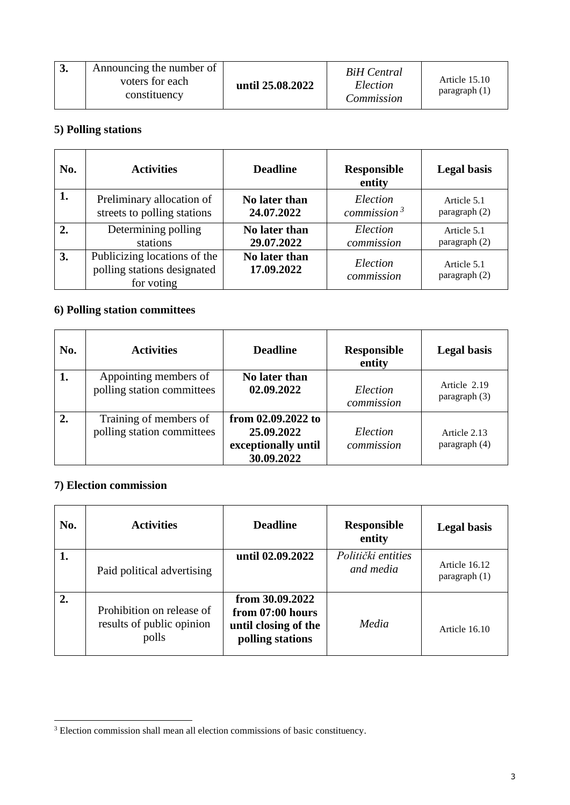| 3. | Announcing the number of<br>voters for each<br>constituency | until 25.08.2022 | BiH Central<br>Election<br>Commission | Article 15.10<br>paragraph(1) |
|----|-------------------------------------------------------------|------------------|---------------------------------------|-------------------------------|
|----|-------------------------------------------------------------|------------------|---------------------------------------|-------------------------------|

### **5) Polling stations**

| No. | <b>Activities</b>                                                         | <b>Deadline</b>             | <b>Responsible</b><br>entity | <b>Legal basis</b>           |
|-----|---------------------------------------------------------------------------|-----------------------------|------------------------------|------------------------------|
| 1.  | Preliminary allocation of                                                 | No later than               | Election                     | Article 5.1                  |
|     | streets to polling stations                                               | 24.07.2022                  | commission $3$               | paragraph (2)                |
| 2.  | Determining polling                                                       | No later than               | Election                     | Article 5.1                  |
|     | stations                                                                  | 29.07.2022                  | commission                   | paragraph (2)                |
| 3.  | Publicizing locations of the<br>polling stations designated<br>for voting | No later than<br>17.09.2022 | Election<br>commission       | Article 5.1<br>paragraph (2) |

# **6) Polling station committees**

| No. | <b>Activities</b>                                    | <b>Deadline</b>                                                       | <b>Responsible</b><br>entity | <b>Legal basis</b>              |
|-----|------------------------------------------------------|-----------------------------------------------------------------------|------------------------------|---------------------------------|
| 1.  | Appointing members of<br>polling station committees  | No later than<br>02.09.2022                                           | Election<br>commission       | Article 2.19<br>paragraph $(3)$ |
| 2.  | Training of members of<br>polling station committees | from 02.09.2022 to<br>25.09.2022<br>exceptionally until<br>30.09.2022 | Election<br>commission       | Article 2.13<br>paragraph (4)   |

## **7) Election commission**

-

| No. | <b>Activities</b>                                               | <b>Deadline</b>                                                                 | <b>Responsible</b><br>entity    | <b>Legal basis</b>               |
|-----|-----------------------------------------------------------------|---------------------------------------------------------------------------------|---------------------------------|----------------------------------|
| 1.  | Paid political advertising                                      | until 02.09.2022                                                                | Politički entities<br>and media | Article 16.12<br>paragraph $(1)$ |
| 2.  | Prohibition on release of<br>results of public opinion<br>polls | from 30.09.2022<br>from 07:00 hours<br>until closing of the<br>polling stations | Media                           | Article 16.10                    |

<sup>&</sup>lt;sup>3</sup> Election commission shall mean all election commissions of basic constituency.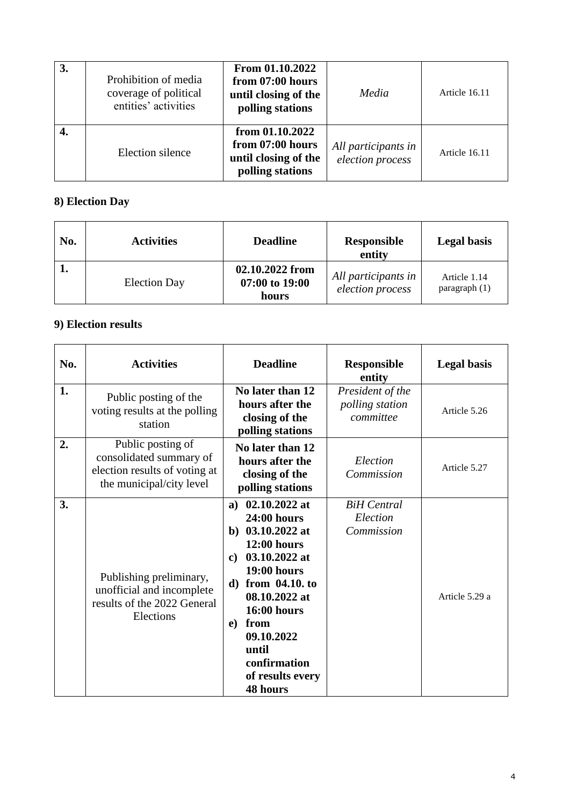| 3. | Prohibition of media<br>coverage of political<br>entities' activities | From 01.10.2022<br>from 07:00 hours<br>until closing of the<br>polling stations   | Media                                   | Article 16.11 |
|----|-----------------------------------------------------------------------|-----------------------------------------------------------------------------------|-----------------------------------------|---------------|
|    | Election silence                                                      | from $01.10.2022$<br>from 07:00 hours<br>until closing of the<br>polling stations | All participants in<br>election process | Article 16.11 |

# **8) Election Day**

| No. | <b>Activities</b>   | <b>Deadline</b>                            | <b>Responsible</b><br>entity            | <b>Legal basis</b>              |
|-----|---------------------|--------------------------------------------|-----------------------------------------|---------------------------------|
|     | <b>Election Day</b> | 02.10.2022 from<br>07:00 to 19:00<br>hours | All participants in<br>election process | Article 1.14<br>paragraph $(1)$ |

# **9) Election results**

| No. | <b>Activities</b>                                                                                         | <b>Deadline</b>                                                                                                                                                                                                                                                               | <b>Responsible</b><br>entity                     | <b>Legal basis</b> |
|-----|-----------------------------------------------------------------------------------------------------------|-------------------------------------------------------------------------------------------------------------------------------------------------------------------------------------------------------------------------------------------------------------------------------|--------------------------------------------------|--------------------|
| 1.  | Public posting of the<br>voting results at the polling<br>station                                         | No later than 12<br>hours after the<br>closing of the<br>polling stations                                                                                                                                                                                                     | President of the<br>polling station<br>committee | Article 5.26       |
| 2.  | Public posting of<br>consolidated summary of<br>election results of voting at<br>the municipal/city level | No later than 12<br>hours after the<br>closing of the<br>polling stations                                                                                                                                                                                                     | Election<br>Commission                           | Article 5.27       |
| 3.  | Publishing preliminary,<br>unofficial and incomplete<br>results of the 2022 General<br>Elections          | a) $02.10.2022$ at<br>$24:00$ hours<br>b) $03.10.2022$ at<br>$12:00$ hours<br>03.10.2022 at<br>$\mathbf{c}$<br><b>19:00 hours</b><br>d) from 04.10. to<br>08.10.2022 at<br>$16:00$ hours<br>from<br>e)<br>09.10.2022<br>until<br>confirmation<br>of results every<br>48 hours | <b>BiH</b> Central<br>Election<br>Commission     | Article 5.29 a     |